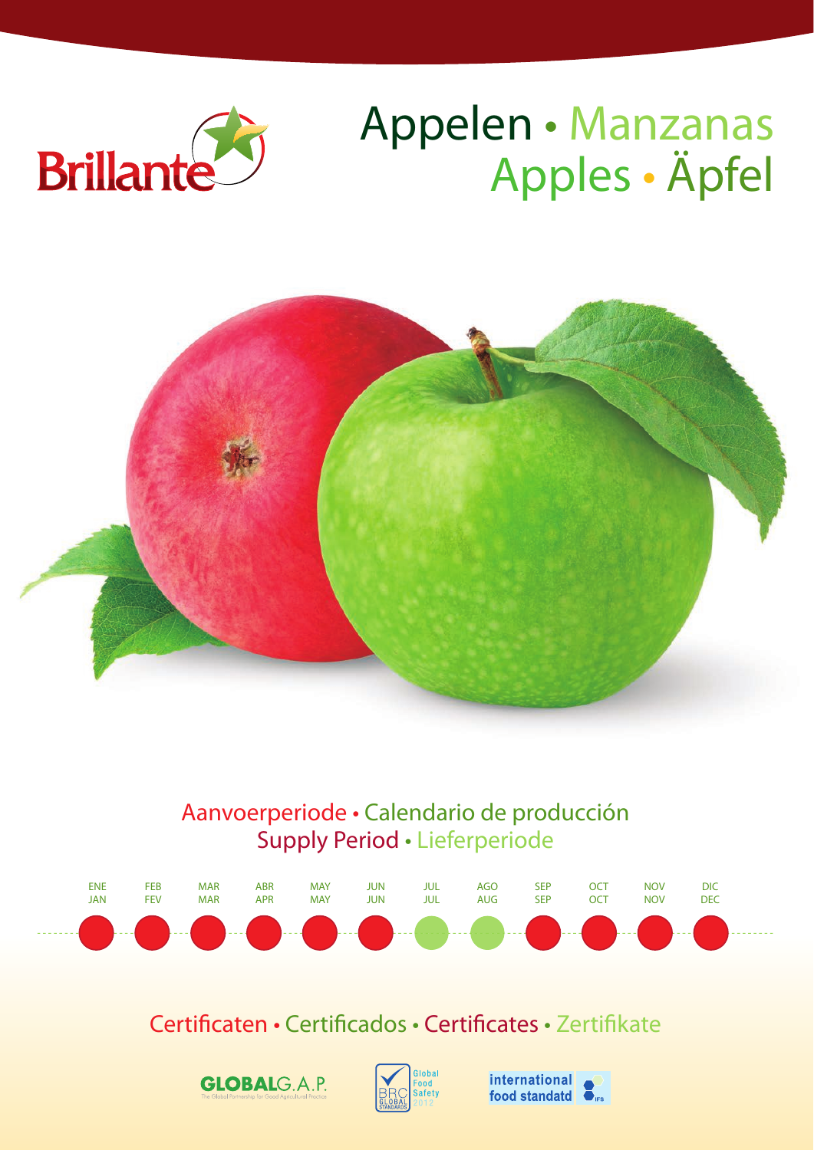

# Appelen • Manzanas Apples • Äpfel



## Aanvoerperiode • Calendario de producción Supply Period • Lieferperiode



# Certificaten • Certificados • Certificates • Zertifikate